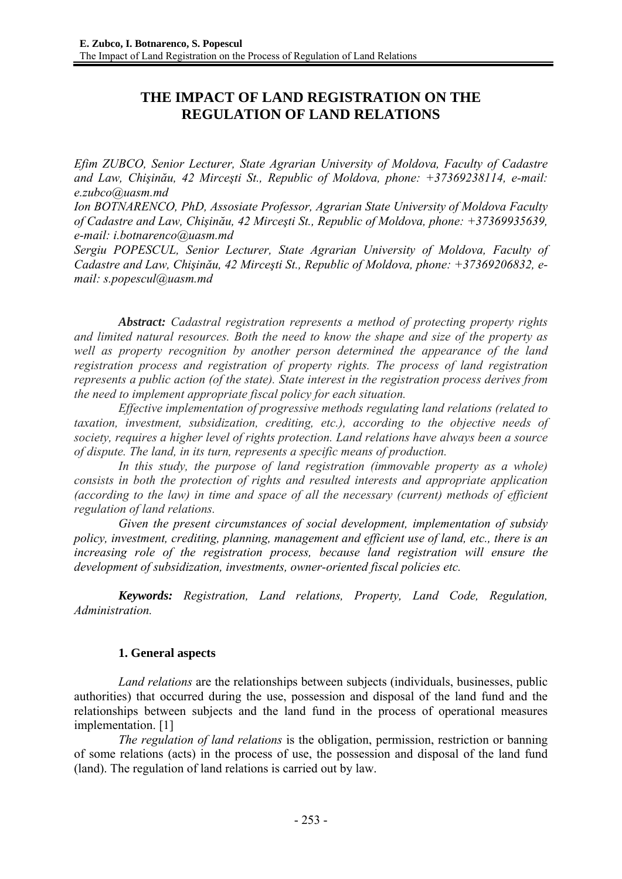# **THE IMPACT OF LAND REGISTRATION ON THE REGULATION OF LAND RELATIONS**

*Efim ZUBCO, Senior Lecturer, State Agrarian University of Moldova, Faculty of Cadastre and Law, Chişinău, 42 Mirceşti St., Republic of Moldova, phone: +37369238114, e-mail: e.zubco@uasm.md* 

*Ion BOTNARENCO, PhD, Assosiate Professor, Agrarian State University of Moldova Faculty of Cadastre and Law, Chişinău, 42 Mirceşti St., Republic of Moldova, phone: +37369935639, e-mail: i.botnarenco@uasm.md* 

*Sergiu POPESCUL, Senior Lecturer, State Agrarian University of Moldova, Faculty of Cadastre and Law, Chişinău, 42 Mirceşti St., Republic of Moldova, phone: +37369206832, email: s.popescul@uasm.md* 

*Abstract: Cadastral registration represents a method of protecting property rights and limited natural resources. Both the need to know the shape and size of the property as well as property recognition by another person determined the appearance of the land registration process and registration of property rights. The process of land registration represents a public action (of the state). State interest in the registration process derives from the need to implement appropriate fiscal policy for each situation.* 

*Effective implementation of progressive methods regulating land relations (related to taxation, investment, subsidization, crediting, etc.), according to the objective needs of society, requires a higher level of rights protection. Land relations have always been a source of dispute. The land, in its turn, represents a specific means of production.* 

*In this study, the purpose of land registration (immovable property as a whole) consists in both the protection of rights and resulted interests and appropriate application (according to the law) in time and space of all the necessary (current) methods of efficient regulation of land relations.* 

*Given the present circumstances of social development, implementation of subsidy policy, investment, crediting, planning, management and efficient use of land, etc., there is an increasing role of the registration process, because land registration will ensure the development of subsidization, investments, owner-oriented fiscal policies etc.* 

*Keywords: Registration, Land relations, Property, Land Code, Regulation, Administration.* 

## **1. General aspects**

*Land relations* are the relationships between subjects (individuals, businesses, public authorities) that occurred during the use, possession and disposal of the land fund and the relationships between subjects and the land fund in the process of operational measures implementation. [1]

*The regulation of land relations* is the obligation, permission, restriction or banning of some relations (acts) in the process of use, the possession and disposal of the land fund (land). The regulation of land relations is carried out by law.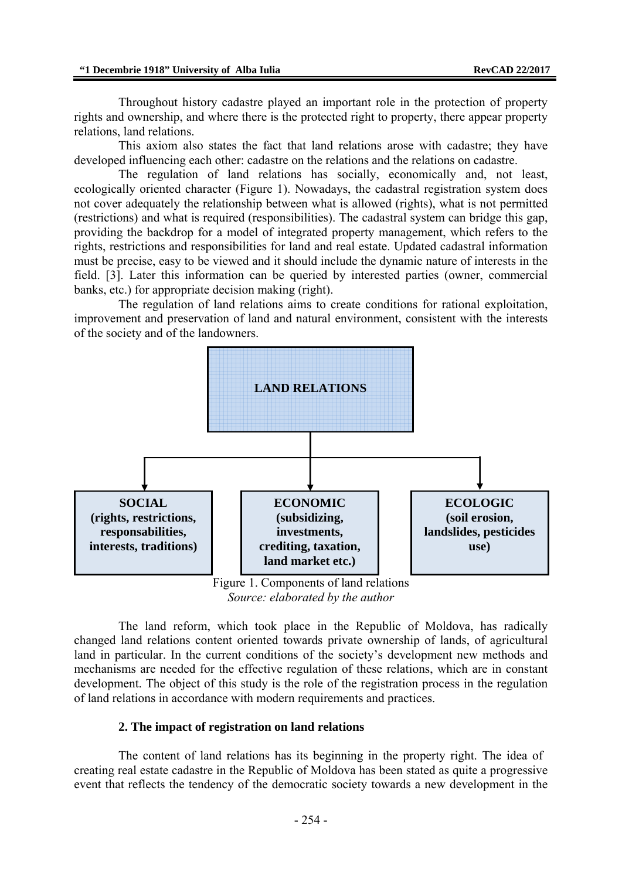Throughout history cadastre played an important role in the protection of property rights and ownership, and where there is the protected right to property, there appear property relations, land relations.

This axiom also states the fact that land relations arose with cadastre; they have developed influencing each other: cadastre on the relations and the relations on cadastre.

The regulation of land relations has socially, economically and, not least, ecologically oriented character (Figure 1). Nowadays, the cadastral registration system does not cover adequately the relationship between what is allowed (rights), what is not permitted (restrictions) and what is required (responsibilities). The cadastral system can bridge this gap, providing the backdrop for a model of integrated property management, which refers to the rights, restrictions and responsibilities for land and real estate. Updated cadastral information must be precise, easy to be viewed and it should include the dynamic nature of interests in the field. [3]. Later this information can be queried by interested parties (owner, commercial banks, etc.) for appropriate decision making (right).

The regulation of land relations aims to create conditions for rational exploitation, improvement and preservation of land and natural environment, consistent with the interests of the society and of the landowners.



*Source: elaborated by the author* 

The land reform, which took place in the Republic of Moldova, has radically changed land relations content oriented towards private ownership of lands, of agricultural land in particular. In the current conditions of the society's development new methods and mechanisms are needed for the effective regulation of these relations, which are in constant development. The object of this study is the role of the registration process in the regulation of land relations in accordance with modern requirements and practices.

### **2. The impact of registration on land relations**

The content of land relations has its beginning in the property right. The idea of creating real estate cadastre in the Republic of Moldova has been stated as quite a progressive event that reflects the tendency of the democratic society towards a new development in the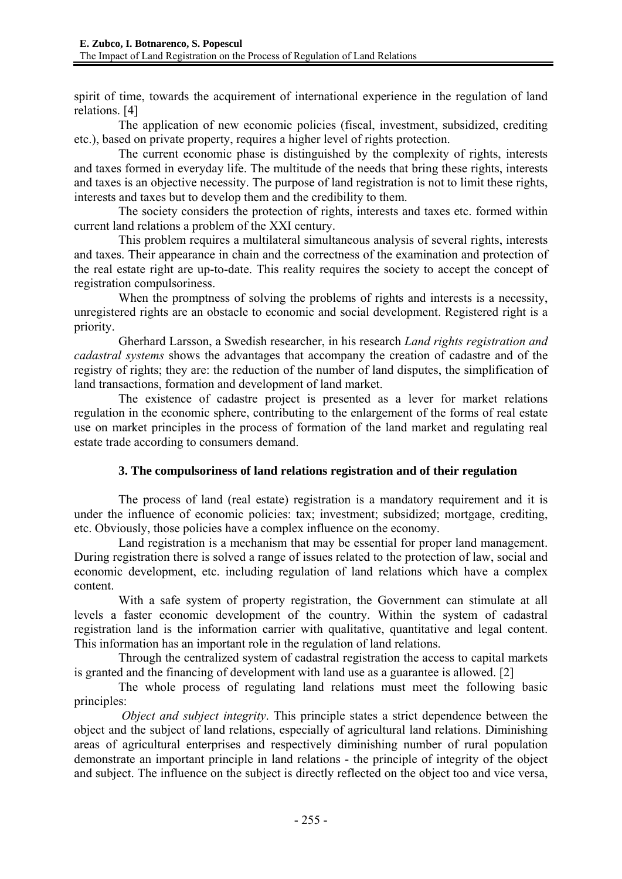spirit of time, towards the acquirement of international experience in the regulation of land relations. [4]

The application of new economic policies (fiscal, investment, subsidized, crediting etc.), based on private property, requires a higher level of rights protection.

The current economic phase is distinguished by the complexity of rights, interests and taxes formed in everyday life. The multitude of the needs that bring these rights, interests and taxes is an objective necessity. The purpose of land registration is not to limit these rights, interests and taxes but to develop them and the credibility to them.

The society considers the protection of rights, interests and taxes etc. formed within current land relations a problem of the XXI century.

This problem requires a multilateral simultaneous analysis of several rights, interests and taxes. Their appearance in chain and the correctness of the examination and protection of the real estate right are up-to-date. This reality requires the society to accept the concept of registration compulsoriness.

When the promptness of solving the problems of rights and interests is a necessity, unregistered rights are an obstacle to economic and social development. Registered right is a priority.

Gherhard Larsson, a Swedish researcher, in his research *Land rights registration and cadastral systems* shows the advantages that accompany the creation of cadastre and of the registry of rights; they are: the reduction of the number of land disputes, the simplification of land transactions, formation and development of land market.

The existence of cadastre project is presented as a lever for market relations regulation in the economic sphere, contributing to the enlargement of the forms of real estate use on market principles in the process of formation of the land market and regulating real estate trade according to consumers demand.

## **3. The compulsoriness of land relations registration and of their regulation**

The process of land (real estate) registration is a mandatory requirement and it is under the influence of economic policies: tax; investment; subsidized; mortgage, crediting, etc. Obviously, those policies have a complex influence on the economy.

Land registration is a mechanism that may be essential for proper land management. During registration there is solved a range of issues related to the protection of law, social and economic development, etc. including regulation of land relations which have a complex content.

With a safe system of property registration, the Government can stimulate at all levels a faster economic development of the country. Within the system of cadastral registration land is the information carrier with qualitative, quantitative and legal content. This information has an important role in the regulation of land relations.

Through the centralized system of cadastral registration the access to capital markets is granted and the financing of development with land use as a guarantee is allowed. [2]

The whole process of regulating land relations must meet the following basic principles:

 *Object and subject integrity*. This principle states a strict dependence between the object and the subject of land relations, especially of agricultural land relations. Diminishing areas of agricultural enterprises and respectively diminishing number of rural population demonstrate an important principle in land relations - the principle of integrity of the object and subject. The influence on the subject is directly reflected on the object too and vice versa,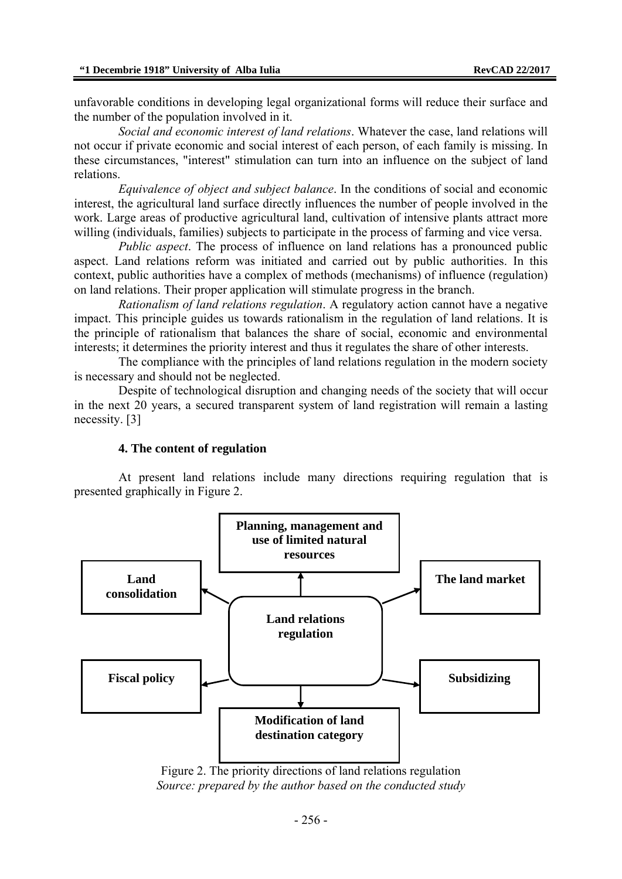unfavorable conditions in developing legal organizational forms will reduce their surface and the number of the population involved in it.

*Social and economic interest of land relations*. Whatever the case, land relations will not occur if private economic and social interest of each person, of each family is missing. In these circumstances, "interest" stimulation can turn into an influence on the subject of land relations.

*Equivalence of object and subject balance*. In the conditions of social and economic interest, the agricultural land surface directly influences the number of people involved in the work. Large areas of productive agricultural land, cultivation of intensive plants attract more willing (individuals, families) subjects to participate in the process of farming and vice versa.

*Public aspect*. The process of influence on land relations has a pronounced public aspect. Land relations reform was initiated and carried out by public authorities. In this context, public authorities have a complex of methods (mechanisms) of influence (regulation) on land relations. Their proper application will stimulate progress in the branch.

*Rationalism of land relations regulation*. A regulatory action cannot have a negative impact. This principle guides us towards rationalism in the regulation of land relations. It is the principle of rationalism that balances the share of social, economic and environmental interests; it determines the priority interest and thus it regulates the share of other interests.

The compliance with the principles of land relations regulation in the modern society is necessary and should not be neglected.

Despite of technological disruption and changing needs of the society that will occur in the next 20 years, a secured transparent system of land registration will remain a lasting necessity. [3]

### **4. The content of regulation**

At present land relations include many directions requiring regulation that is presented graphically in Figure 2.



Figure 2. The priority directions of land relations regulation *Source: prepared by the author based on the conducted study*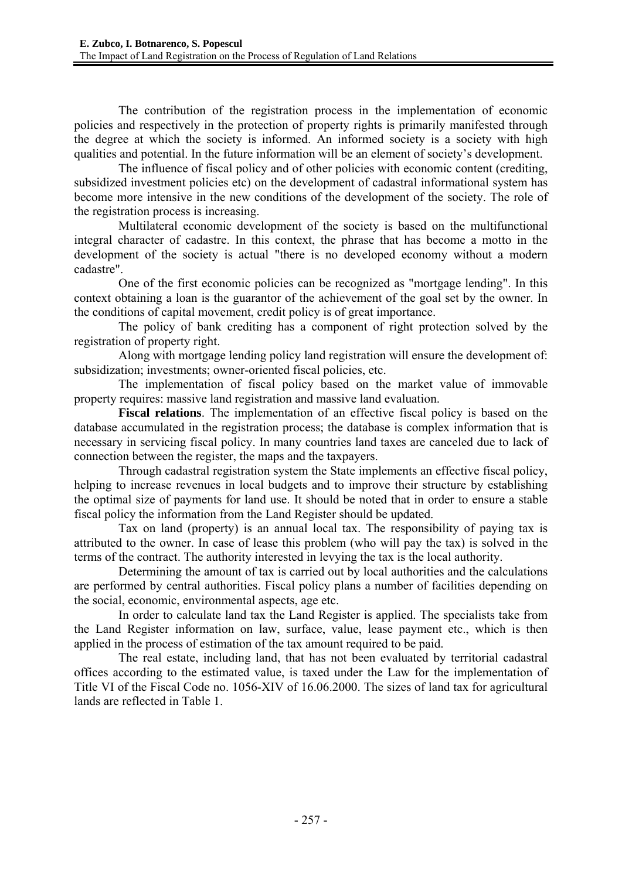The contribution of the registration process in the implementation of economic policies and respectively in the protection of property rights is primarily manifested through the degree at which the society is informed. An informed society is a society with high qualities and potential. In the future information will be an element of society's development.

The influence of fiscal policy and of other policies with economic content (crediting, subsidized investment policies etc) on the development of cadastral informational system has become more intensive in the new conditions of the development of the society. The role of the registration process is increasing.

Multilateral economic development of the society is based on the multifunctional integral character of cadastre. In this context, the phrase that has become a motto in the development of the society is actual "there is no developed economy without a modern cadastre".

One of the first economic policies can be recognized as "mortgage lending". In this context obtaining a loan is the guarantor of the achievement of the goal set by the owner. In the conditions of capital movement, credit policy is of great importance.

The policy of bank crediting has a component of right protection solved by the registration of property right.

Along with mortgage lending policy land registration will ensure the development of: subsidization; investments; owner-oriented fiscal policies, etc.

The implementation of fiscal policy based on the market value of immovable property requires: massive land registration and massive land evaluation.

**Fiscal relations**. The implementation of an effective fiscal policy is based on the database accumulated in the registration process; the database is complex information that is necessary in servicing fiscal policy. In many countries land taxes are canceled due to lack of connection between the register, the maps and the taxpayers.

Through cadastral registration system the State implements an effective fiscal policy, helping to increase revenues in local budgets and to improve their structure by establishing the optimal size of payments for land use. It should be noted that in order to ensure a stable fiscal policy the information from the Land Register should be updated.

Tax on land (property) is an annual local tax. The responsibility of paying tax is attributed to the owner. In case of lease this problem (who will pay the tax) is solved in the terms of the contract. The authority interested in levying the tax is the local authority.

Determining the amount of tax is carried out by local authorities and the calculations are performed by central authorities. Fiscal policy plans a number of facilities depending on the social, economic, environmental aspects, age etc.

In order to calculate land tax the Land Register is applied. The specialists take from the Land Register information on law, surface, value, lease payment etc., which is then applied in the process of estimation of the tax amount required to be paid.

The real estate, including land, that has not been evaluated by territorial cadastral offices according to the estimated value, is taxed under the Law for the implementation of Title VI of the Fiscal Code no. 1056-XIV of 16.06.2000. The sizes of land tax for agricultural lands are reflected in Table 1.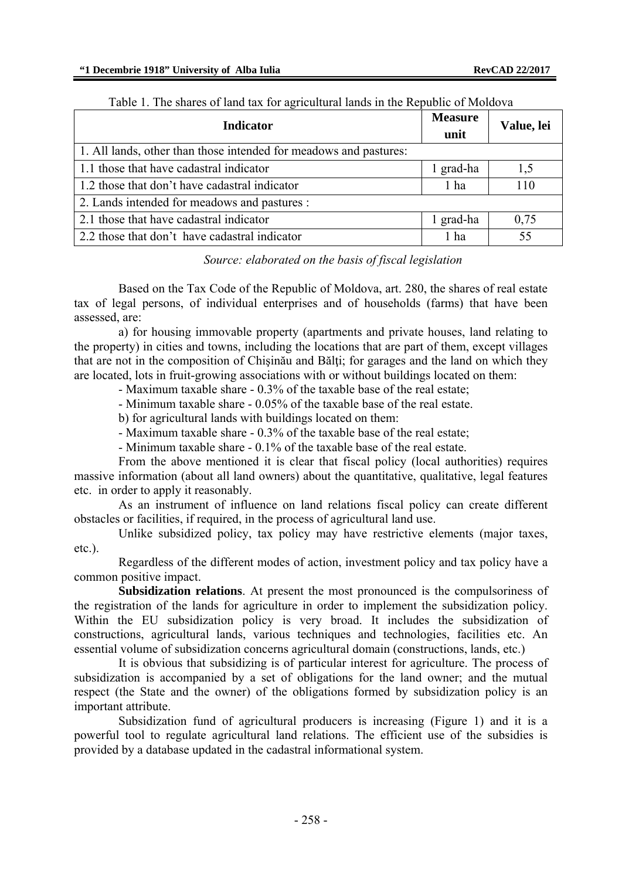| Indicator                                                         | <b>Measure</b><br>unit | Value, lei |
|-------------------------------------------------------------------|------------------------|------------|
| 1. All lands, other than those intended for meadows and pastures: |                        |            |
| 1.1 those that have cadastral indicator                           | 1 grad-ha              | 1,5        |
| 1.2 those that don't have cadastral indicator                     | 1 ha                   | 110        |
| 2. Lands intended for meadows and pastures :                      |                        |            |
| 2.1 those that have cadastral indicator                           | 1 grad-ha              | 0,75       |
| 2.2 those that don't have cadastral indicator                     | 1 ha                   | 55         |

#### Table 1. The shares of land tax for agricultural lands in the Republic of Moldova

### *Source: elaborated on the basis of fiscal legislation*

Based on the Tax Code of the Republic of Moldova, art. 280, the shares of real estate tax of legal persons, of individual enterprises and of households (farms) that have been assessed, are:

a) for housing immovable property (apartments and private houses, land relating to the property) in cities and towns, including the locations that are part of them, except villages that are not in the composition of Chisinău and Bălti; for garages and the land on which they are located, lots in fruit-growing associations with or without buildings located on them:

- Maximum taxable share - 0.3% of the taxable base of the real estate;

- Minimum taxable share - 0.05% of the taxable base of the real estate.

b) for agricultural lands with buildings located on them:

- Maximum taxable share - 0.3% of the taxable base of the real estate;

- Minimum taxable share - 0.1% of the taxable base of the real estate.

From the above mentioned it is clear that fiscal policy (local authorities) requires massive information (about all land owners) about the quantitative, qualitative, legal features etc. in order to apply it reasonably.

As an instrument of influence on land relations fiscal policy can create different obstacles or facilities, if required, in the process of agricultural land use.

Unlike subsidized policy, tax policy may have restrictive elements (major taxes, etc.).

Regardless of the different modes of action, investment policy and tax policy have a common positive impact.

**Subsidization relations**. At present the most pronounced is the compulsoriness of the registration of the lands for agriculture in order to implement the subsidization policy. Within the EU subsidization policy is very broad. It includes the subsidization of constructions, agricultural lands, various techniques and technologies, facilities etc. An essential volume of subsidization concerns agricultural domain (constructions, lands, etc.)

It is obvious that subsidizing is of particular interest for agriculture. The process of subsidization is accompanied by a set of obligations for the land owner; and the mutual respect (the State and the owner) of the obligations formed by subsidization policy is an important attribute.

Subsidization fund of agricultural producers is increasing (Figure 1) and it is a powerful tool to regulate agricultural land relations. The efficient use of the subsidies is provided by a database updated in the cadastral informational system.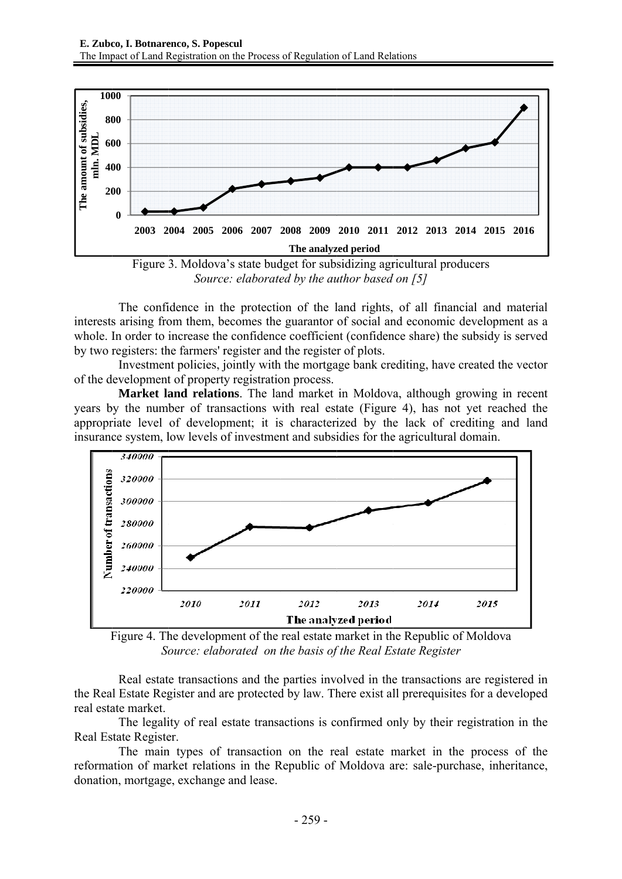![](_page_6_Figure_1.jpeg)

*Source: elaborated by the author based on [5]* 

interests arising from them, becomes the guarantor of social and economic development as a whole. In order to increase the confidence coefficient (confidence share) the subsidy is served by two registers: the farmers' register and the register of plots. The confidence in the protection of the land rights, of all financial and material

of the development of property registration process. Investment policies, jointly with the mortgage bank crediting, have created the vector

years by the number of transactions with real estate (Figure 4), has not yet reached the appropriate level of development; it is characterized by the lack of crediting and land insurance system, low levels of investment and subsidies for the agricultural domain. Market land relations. The land market in Moldova, although growing in recent

![](_page_6_Figure_6.jpeg)

Figure 4. The development of the real estate market in the Republic of Moldova *Source: elaborated on the basis of the Real Estate Register* 

the Real Estate Register and are protected by law. There exist all prerequisites for a developed real estate market. Real estate transactions and the parties involved in the transactions are registered in

Real Estate Register. The legality of real estate transactions is confirmed only by their registration in the

reformation of market relations in the Republic of Moldova are: sale-purchase, inheritance, donation, mortgage, exchange and lease. The main types of transaction on the real estate market in the process of the